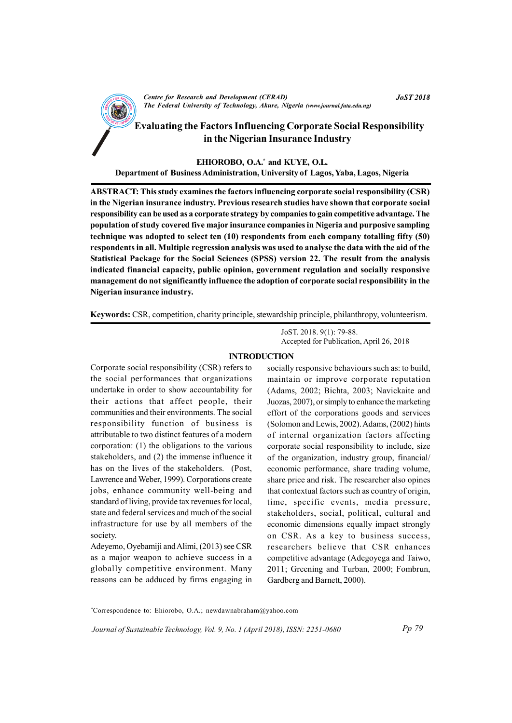

EHIOROBO, O.A.\* and KUYE, O.L. Department of Business Administration, University of Lagos, Yaba, Lagos, Nigeria

ABSTRACT: This study examines the factors influencing corporate social responsibility (CSR) in the Nigerian insurance industry. Previous research studies have shown that corporate social responsibility can be used as a corporate strategy by companies to gain competitive advantage. The population of study covered five major insurance companies in Nigeria and purposive sampling technique was adopted to select ten (10) respondents from each company totalling fifty (50) respondents in all. Multiple regression analysis was used to analyse the data with the aid of the Statistical Package for the Social Sciences (SPSS) version 22. The result from the analysis indicated financial capacity, public opinion, government regulation and socially responsive management do not significantly influence the adoption of corporate social responsibility in the Nigerian insurance industry.

Keywords: CSR, competition, charity principle, stewardship principle, philanthropy, volunteerism.

JoST. 2018. 9(1): 79-88. Accepted for Publication, April 26, 2018

#### INTRODUCTION

Corporate social responsibility (CSR) refers to the social performances that organizations undertake in order to show accountability for their actions that affect people, their communities and their environments. The social responsibility function of business is attributable to two distinct features of a modern corporation: (1) the obligations to the various stakeholders, and (2) the immense influence it has on the lives of the stakeholders. (Post, Lawrence and Weber, 1999). Corporations create jobs, enhance community well-being and standard of living, provide tax revenues for local, state and federal services and much of the social infrastructure for use by all members of the society.

Adeyemo, Oyebamiji and Alimi, (2013) see CSR as a major weapon to achieve success in a globally competitive environment. Many reasons can be adduced by firms engaging in

socially responsive behaviours such as: to build, maintain or improve corporate reputation (Adams, 2002; Bichta, 2003; Navickaite and Juozas, 2007), or simply to enhance the marketing effort of the corporations goods and services (Solomon and Lewis, 2002). Adams, (2002) hints of internal organization factors affecting corporate social responsibility to include, size of the organization, industry group, financial/ economic performance, share trading volume, share price and risk. The researcher also opines that contextual factors such as country of origin, time, specific events, media pressure, stakeholders, social, political, cultural and economic dimensions equally impact strongly on CSR. As a key to business success, researchers believe that CSR enhances competitive advantage (Adegoyega and Taiwo, 2011; Greening and Turban, 2000; Fombrun, Gardberg and Barnett, 2000).

\*Correspondence to: Ehiorobo, O.A.; newdawnabraham@yahoo.com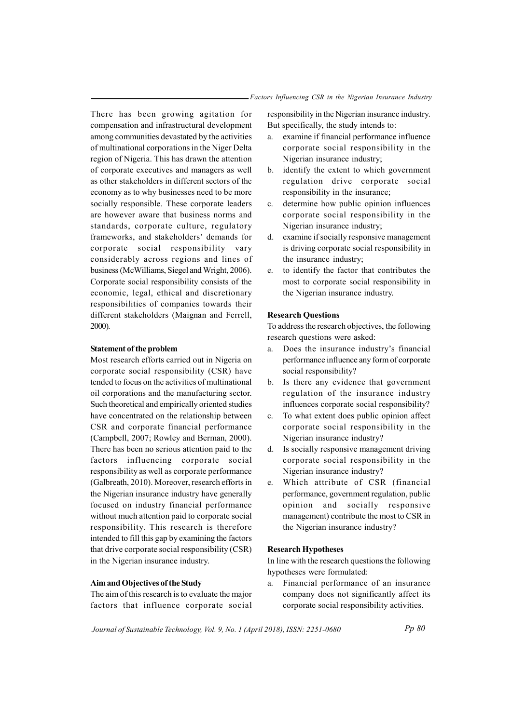There has been growing agitation for compensation and infrastructural development among communities devastated by the activities of multinational corporations in the Niger Delta region of Nigeria. This has drawn the attention of corporate executives and managers as well as other stakeholders in different sectors of the economy as to why businesses need to be more socially responsible. These corporate leaders are however aware that business norms and standards, corporate culture, regulatory frameworks, and stakeholders' demands for corporate social responsibility vary considerably across regions and lines of business (McWilliams, Siegel and Wright, 2006). Corporate social responsibility consists of the economic, legal, ethical and discretionary responsibilities of companies towards their different stakeholders (Maignan and Ferrell, 2000).

#### Statement of the problem

Most research efforts carried out in Nigeria on corporate social responsibility (CSR) have tended to focus on the activities of multinational oil corporations and the manufacturing sector. Such theoretical and empirically oriented studies have concentrated on the relationship between CSR and corporate financial performance (Campbell, 2007; Rowley and Berman, 2000). There has been no serious attention paid to the factors influencing corporate social responsibility as well as corporate performance (Galbreath, 2010). Moreover, research efforts in the Nigerian insurance industry have generally focused on industry financial performance without much attention paid to corporate social responsibility. This research is therefore intended to fill this gap by examining the factors that drive corporate social responsibility (CSR) in the Nigerian insurance industry.

#### Aim and Objectives of the Study

The aim of this research is to evaluate the major factors that influence corporate social responsibility in the Nigerian insurance industry. But specifically, the study intends to:

- a. examine if financial performance influence corporate social responsibility in the Nigerian insurance industry;
- b. identify the extent to which government regulation drive corporate social responsibility in the insurance;
- c. determine how public opinion influences corporate social responsibility in the Nigerian insurance industry;
- d. examine if socially responsive management is driving corporate social responsibility in the insurance industry;
- e. to identify the factor that contributes the most to corporate social responsibility in the Nigerian insurance industry.

#### Research Questions

To address the research objectives, the following research questions were asked:

- a. Does the insurance industry's financial performance influence any form of corporate social responsibility?
- b. Is there any evidence that government regulation of the insurance industry influences corporate social responsibility?
- c. To what extent does public opinion affect corporate social responsibility in the Nigerian insurance industry?
- d. Is socially responsive management driving corporate social responsibility in the Nigerian insurance industry?
- e. Which attribute of CSR (financial performance, government regulation, public opinion and socially responsive management) contribute the most to CSR in the Nigerian insurance industry?

## Research Hypotheses

In line with the research questions the following hypotheses were formulated:

a. Financial performance of an insurance company does not significantly affect its corporate social responsibility activities.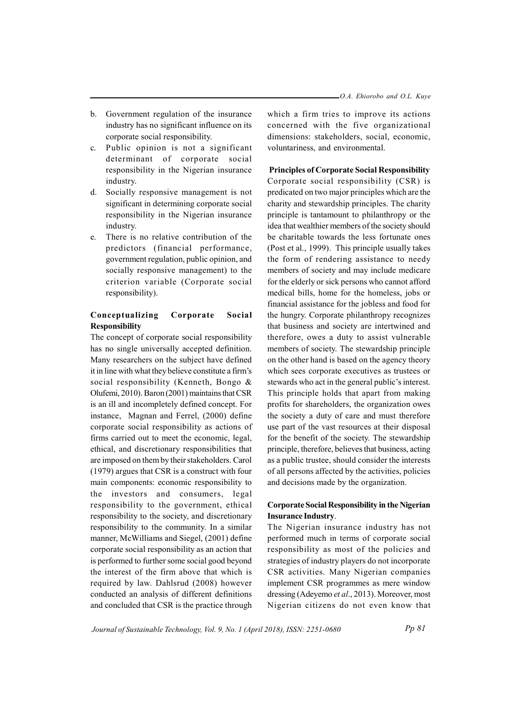- b. Government regulation of the insurance industry has no significant influence on its corporate social responsibility.
- c. Public opinion is not a significant determinant of corporate social responsibility in the Nigerian insurance industry.
- d. Socially responsive management is not significant in determining corporate social responsibility in the Nigerian insurance industry.
- e. There is no relative contribution of the predictors (financial performance, government regulation, public opinion, and socially responsive management) to the criterion variable (Corporate social responsibility).

## Conceptualizing Corporate Social Responsibility

The concept of corporate social responsibility has no single universally accepted definition. Many researchers on the subject have defined it in line with what they believe constitute a firm's social responsibility (Kenneth, Bongo & Olufemi, 2010). Baron (2001) maintains that CSR is an ill and incompletely defined concept. For instance, Magnan and Ferrel, (2000) define corporate social responsibility as actions of firms carried out to meet the economic, legal, ethical, and discretionary responsibilities that are imposed on them by their stakeholders. Carol (1979) argues that CSR is a construct with four main components: economic responsibility to the investors and consumers, legal responsibility to the government, ethical responsibility to the society, and discretionary responsibility to the community. In a similar manner, McWilliams and Siegel, (2001) define corporate social responsibility as an action that is performed to further some social good beyond the interest of the firm above that which is required by law. Dahlsrud (2008) however conducted an analysis of different definitions and concluded that CSR is the practice through

which a firm tries to improve its actions concerned with the five organizational dimensions: stakeholders, social, economic, voluntariness, and environmental.

## Principles of Corporate Social Responsibility

Corporate social responsibility (CSR) is predicated on two major principles which are the charity and stewardship principles. The charity principle is tantamount to philanthropy or the idea that wealthier members of the society should be charitable towards the less fortunate ones (Post et al., 1999). This principle usually takes the form of rendering assistance to needy members of society and may include medicare for the elderly or sick persons who cannot afford medical bills, home for the homeless, jobs or financial assistance for the jobless and food for the hungry. Corporate philanthropy recognizes that business and society are intertwined and therefore, owes a duty to assist vulnerable members of society. The stewardship principle on the other hand is based on the agency theory which sees corporate executives as trustees or stewards who act in the general public's interest. This principle holds that apart from making profits for shareholders, the organization owes the society a duty of care and must therefore use part of the vast resources at their disposal for the benefit of the society. The stewardship principle, therefore, believes that business, acting as a public trustee, should consider the interests of all persons affected by the activities, policies and decisions made by the organization.

# Corporate Social Responsibility in the Nigerian Insurance Industry.

The Nigerian insurance industry has not performed much in terms of corporate social responsibility as most of the policies and strategies of industry players do not incorporate CSR activities. Many Nigerian companies implement CSR programmes as mere window dressing (Adeyemo et al., 2013). Moreover, most Nigerian citizens do not even know that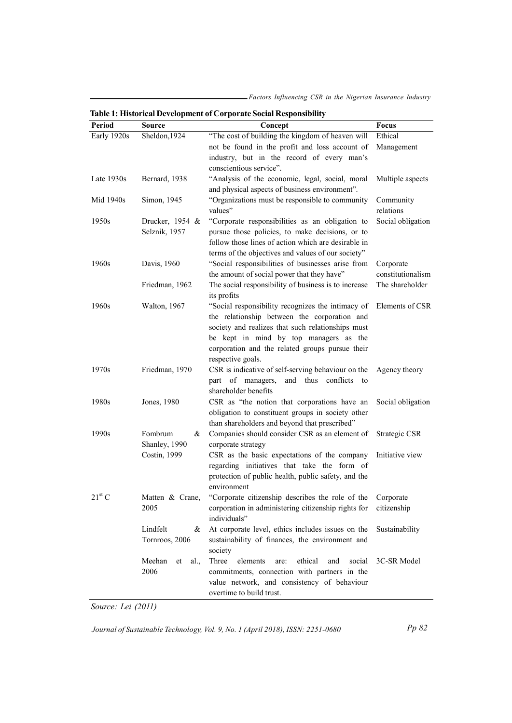Factors Influencing CSR in the Nigerian Insurance Industry

|             |                      | ж.                                                                |                   |
|-------------|----------------------|-------------------------------------------------------------------|-------------------|
| Period      | <b>Source</b>        | Concept                                                           | Focus             |
| Early 1920s | Sheldon, 1924        | "The cost of building the kingdom of heaven will                  | Ethical           |
|             |                      | not be found in the profit and loss account of                    | Management        |
|             |                      | industry, but in the record of every man's                        |                   |
|             |                      | conscientious service".                                           |                   |
| Late 1930s  | Bernard, 1938        | "Analysis of the economic, legal, social, moral Multiple aspects  |                   |
|             |                      | and physical aspects of business environment".                    |                   |
| Mid 1940s   | Simon, 1945          | "Organizations must be responsible to community                   | Community         |
|             |                      | values"                                                           | relations         |
| 1950s       | Drucker, 1954 &      | "Corporate responsibilities as an obligation to                   | Social obligation |
|             | Selznik, 1957        | pursue those policies, to make decisions, or to                   |                   |
|             |                      | follow those lines of action which are desirable in               |                   |
|             |                      | terms of the objectives and values of our society"                |                   |
|             |                      |                                                                   |                   |
| 1960s       | Davis, 1960          | "Social responsibilities of businesses arise from                 | Corporate         |
|             |                      | the amount of social power that they have"                        | constitutionalism |
|             | Friedman, 1962       | The social responsibility of business is to increase              | The shareholder   |
|             |                      | its profits                                                       |                   |
| 1960s       | Walton, 1967         | "Social responsibility recognizes the intimacy of Elements of CSR |                   |
|             |                      | the relationship between the corporation and                      |                   |
|             |                      | society and realizes that such relationships must                 |                   |
|             |                      | be kept in mind by top managers as the                            |                   |
|             |                      | corporation and the related groups pursue their                   |                   |
|             |                      | respective goals.                                                 |                   |
| 1970s       | Friedman, 1970       | CSR is indicative of self-serving behaviour on the Agency theory  |                   |
|             |                      | part of managers, and thus conflicts to                           |                   |
|             |                      | shareholder benefits                                              |                   |
| 1980s       | Jones, 1980          | CSR as "the notion that corporations have an                      | Social obligation |
|             |                      | obligation to constituent groups in society other                 |                   |
|             |                      |                                                                   |                   |
|             |                      | than shareholders and beyond that prescribed"                     |                   |
| 1990s       | Fombrum<br>&         | Companies should consider CSR as an element of Strategic CSR      |                   |
|             | Shanley, 1990        | corporate strategy                                                |                   |
|             | Costin, 1999         | CSR as the basic expectations of the company                      | Initiative view   |
|             |                      | regarding initiatives that take the form of                       |                   |
|             |                      | protection of public health, public safety, and the               |                   |
|             |                      | environment                                                       |                   |
| $21st$ C    | Matten & Crane,      | "Corporate citizenship describes the role of the Corporate        |                   |
|             | 2005                 | corporation in administering citizenship rights for citizenship   |                   |
|             |                      | individuals"                                                      |                   |
|             | Lindfelt<br>&        | At corporate level, ethics includes issues on the                 | Sustainability    |
|             | Tornroos, 2006       | sustainability of finances, the environment and                   |                   |
|             |                      | society                                                           |                   |
|             |                      |                                                                   |                   |
|             | Meehan<br>et<br>al., | Three elements<br>ethical<br>are:<br>and<br>social                | 3C-SR Model       |
|             | 2006                 | commitments, connection with partners in the                      |                   |
|             |                      | value network, and consistency of behaviour                       |                   |
|             |                      | overtime to build trust.                                          |                   |

Table 1: Historical Development of Corporate Social Responsibility

Source: Lei (2011)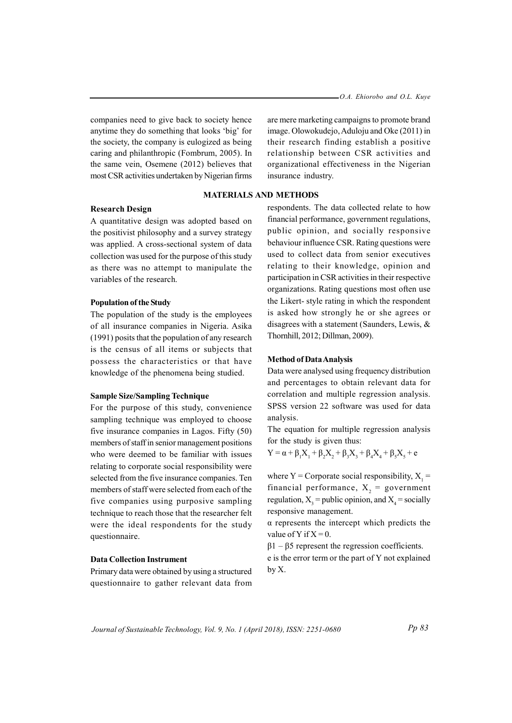companies need to give back to society hence anytime they do something that looks 'big' for the society, the company is eulogized as being caring and philanthropic (Fombrum, 2005). In the same vein, Osemene (2012) believes that most CSR activities undertaken by Nigerian firms

# Research Design

A quantitative design was adopted based on the positivist philosophy and a survey strategy was applied. A cross-sectional system of data collection was used for the purpose of this study as there was no attempt to manipulate the variables of the research.

#### Population of the Study

The population of the study is the employees of all insurance companies in Nigeria. Asika (1991) posits that the population of any research is the census of all items or subjects that possess the characteristics or that have knowledge of the phenomena being studied.

#### Sample Size/Sampling Technique

For the purpose of this study, convenience sampling technique was employed to choose five insurance companies in Lagos. Fifty (50) members of staff in senior management positions who were deemed to be familiar with issues relating to corporate social responsibility were selected from the five insurance companies. Ten members of staff were selected from each of the five companies using purposive sampling technique to reach those that the researcher felt were the ideal respondents for the study questionnaire.

## Data Collection Instrument

Primary data were obtained by using a structured questionnaire to gather relevant data from

are mere marketing campaigns to promote brand image. Olowokudejo, Aduloju and Oke (2011) in their research finding establish a positive relationship between CSR activities and organizational effectiveness in the Nigerian insurance industry.

## MATERIALS AND METHODS

respondents. The data collected relate to how financial performance, government regulations, public opinion, and socially responsive behaviour influence CSR. Rating questions were used to collect data from senior executives relating to their knowledge, opinion and participation in CSR activities in their respective organizations. Rating questions most often use the Likert- style rating in which the respondent is asked how strongly he or she agrees or disagrees with a statement (Saunders, Lewis, & Thornhill, 2012; Dillman, 2009).

#### Method of Data Analysis

Data were analysed using frequency distribution and percentages to obtain relevant data for correlation and multiple regression analysis. SPSS version 22 software was used for data analysis.

The equation for multiple regression analysis for the study is given thus:

$$
Y = \alpha + \beta_1 X_1 + \beta_2 X_2 + \beta_3 X_3 + \beta_4 X_4 + \beta_5 X_5 + e
$$

where  $Y =$  Corporate social responsibility,  $X_1 =$ financial performance,  $X_2$  = government regulation,  $X_3$  = public opinion, and  $X_4$  = socially responsive management.

α represents the intercept which predicts the value of Y if  $X = 0$ .

 $β1 - β5$  represent the regression coefficients.

e is the error term or the part of Y not explained by X.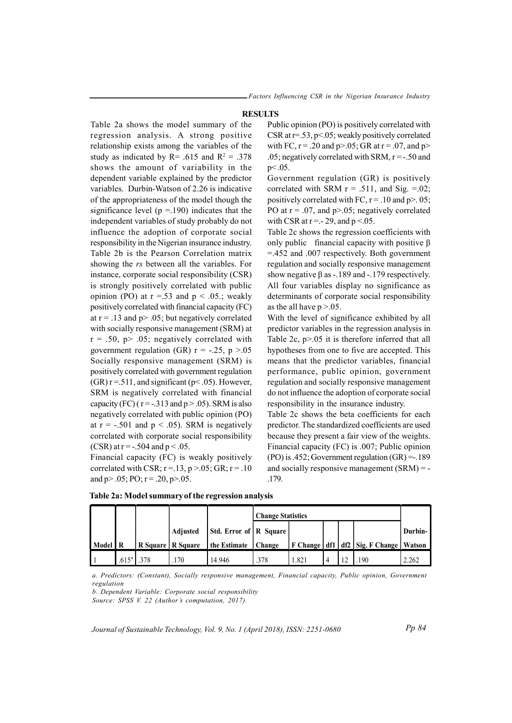#### **RESULTS**

Table 2a shows the model summary of the regression analysis. A strong positive relationship exists among the variables of the study as indicated by  $R = .615$  and  $R^2 = .378$ shows the amount of variability in the dependent variable explained by the predictor variables. Durbin-Watson of 2.26 is indicative of the appropriateness of the model though the significance level ( $p = 190$ ) indicates that the independent variables of study probably do not influence the adoption of corporate social responsibility in the Nigerian insurance industry. Table 2b is the Pearson Correlation matrix showing the rs between all the variables. For instance, corporate social responsibility (CSR) is strongly positively correlated with public opinion (PO) at  $r = .53$  and  $p < .05$ .; weakly positively correlated with financial capacity (FC) at  $r = .13$  and  $p > .05$ ; but negatively correlated with socially responsive management (SRM) at  $r = .50$ ,  $p > .05$ ; negatively correlated with government regulation (GR)  $r = -.25$ ,  $p > .05$ Socially responsive management (SRM) is positively correlated with government regulation (GR)  $r = .511$ , and significant ( $p < .05$ ). However, SRM is negatively correlated with financial capacity (FC) ( $r = -0.313$  and  $p > 0.05$ ). SRM is also negatively correlated with public opinion (PO) at  $r = -.501$  and  $p < .05$ ). SRM is negatively correlated with corporate social responsibility (CSR) at  $r = -0.504$  and  $p < 0.05$ .

Financial capacity (FC) is weakly positively correlated with CSR;  $r = .13$ ,  $p > .05$ ; GR;  $r = .10$ and  $p > .05$ ; PO;  $r = .20$ ,  $p > .05$ .

Public opinion (PO) is positively correlated with CSR at r=.53, p<.05; weakly positively correlated with FC,  $r = .20$  and  $p > .05$ ; GR at  $r = .07$ , and  $p >$ .05; negatively correlated with SRM,  $r = -0.50$  and p< .05.

Government regulation (GR) is positively correlated with SRM  $r = .511$ , and Sig. =.02; positively correlated with FC,  $r = .10$  and  $p > .05$ ; PO at  $r = .07$ , and  $p > .05$ ; negatively correlated with CSR at  $r = -29$ , and  $p < 0.05$ .

Table 2c shows the regression coefficients with only public financial capacity with positive β =.452 and .007 respectively. Both government regulation and socially responsive management show negative  $\beta$  as -.189 and -.179 respectively. All four variables display no significance as determinants of corporate social responsibility as the all have  $p > 0.05$ .

With the level of significance exhibited by all predictor variables in the regression analysis in Table 2c, p>.05 it is therefore inferred that all hypotheses from one to five are accepted. This means that the predictor variables, financial performance, public opinion, government regulation and socially responsive management do not influence the adoption of corporate social responsibility in the insurance industry.

Table 2c shows the beta coefficients for each predictor. The standardized coefficients are used because they present a fair view of the weights. Financial capacity (FC) is .007; Public opinion  $(PO)$  is .452; Government regulation  $(GR) = .189$ and socially responsive management (SRM) = - .179.

|         |                   |      |                     |                          | <b>Change Statistics</b> |      |  |                |                                               |         |
|---------|-------------------|------|---------------------|--------------------------|--------------------------|------|--|----------------|-----------------------------------------------|---------|
|         |                   |      | <b>Adjusted</b>     | Std. Error of   R Square |                          |      |  |                |                                               | Durbin- |
| Model R |                   |      | R Square   R Square | the Estimate   Change    |                          |      |  |                | F Change   df1   df2   Sig. F Change   Watson |         |
|         | .615 <sup>a</sup> | .378 | .170                | 14.946                   | .378                     | .821 |  | 1 <sup>2</sup> | .190                                          | 2.262   |

Table 2a: Model summaryof the regression analysis

a. Predictors: (Constant), Socially responsive management, Financial capacity, Public opinion, Government regulation

b. Dependent Variable: Corporate social responsibility

Source: SPSS V. 22 (Author's computation, 2017).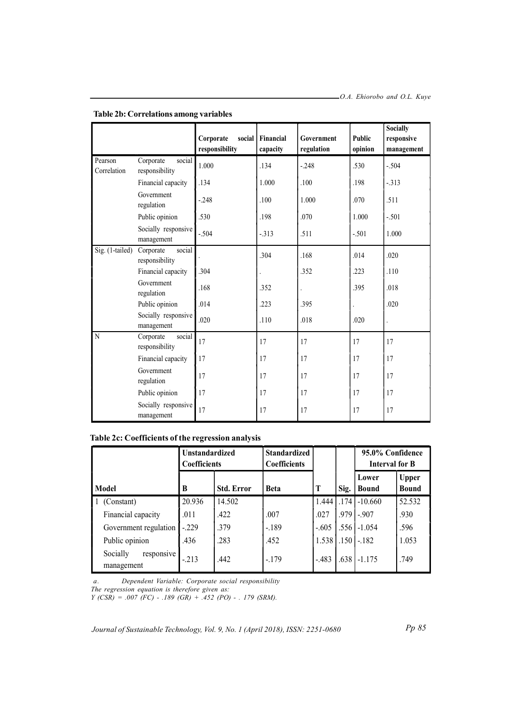|                        |                                       | Corporate<br>social<br>responsibility | Financial<br>capacity | Government<br>regulation | Public<br>opinion | <b>Socially</b><br>responsive<br>management |
|------------------------|---------------------------------------|---------------------------------------|-----------------------|--------------------------|-------------------|---------------------------------------------|
| Pearson<br>Correlation | social<br>Corporate<br>responsibility | 1.000                                 | .134                  | $-0.248$                 | .530              | $-.504$                                     |
|                        | Financial capacity                    | .134                                  | 1.000                 | .100                     | .198              | $-313$                                      |
|                        | Government<br>regulation              | $-.248$                               | .100                  | 1.000                    | .070              | .511                                        |
|                        | Public opinion                        | .530                                  | .198                  | .070                     | 1.000             | $-.501$                                     |
|                        | Socially responsive<br>management     | $-.504$                               | $-313$                | .511                     | $-.501$           | 1.000                                       |
| Sig. (1-tailed)        | social<br>Corporate<br>responsibility |                                       | .304                  | .168                     | .014              | .020                                        |
|                        | Financial capacity                    | .304                                  |                       | .352                     | .223              | .110                                        |
|                        | Government<br>regulation              | .168                                  | .352                  |                          | .395              | .018                                        |
|                        | Public opinion                        | .014                                  | .223                  | .395                     |                   | .020                                        |
|                        | Socially responsive<br>management     | .020                                  | .110                  | .018                     | .020              |                                             |
| N                      | social<br>Corporate<br>responsibility | 17                                    | 17                    | 17                       | 17                | 17                                          |
|                        | Financial capacity                    | 17                                    | 17                    | 17                       | 17                | 17                                          |
|                        | Government<br>regulation              | 17                                    | 17                    | 17                       | 17                | 17                                          |
|                        | Public opinion                        | 17                                    | 17                    | 17                       | 17                | 17                                          |
|                        | Socially responsive<br>management     | 17                                    | 17                    | 17                       | 17                | 17                                          |

## Table 2b: Correlations among variables

Table 2c: Coefficients of the regression analysis

|                                      | <b>Unstandardized</b><br><b>Coefficients</b> |                   | <b>Standardized</b><br><b>Coefficients</b> |         |      | 95.0% Confidence<br>Interval for B |                              |
|--------------------------------------|----------------------------------------------|-------------------|--------------------------------------------|---------|------|------------------------------------|------------------------------|
| Model                                | B                                            | <b>Std. Error</b> | <b>Beta</b>                                | T       | Sig. | Lower<br><b>Bound</b>              | <b>Upper</b><br><b>Bound</b> |
| (Constant)                           | 20.936                                       | 14.502            |                                            | 1.444   |      | $.174$ -10.660                     | 52.532                       |
| Financial capacity                   | .011                                         | .422              | .007                                       | .027    | .979 | $-.907$                            | .930                         |
| Government regulation                | $-.229$                                      | .379              | $-189$                                     | $-.605$ | .556 | $-1.054$                           | .596                         |
| Public opinion                       | .436                                         | .283              | .452                                       | 1.538   | .150 | $-182$                             | 1.053                        |
| Socially<br>responsive<br>management | $-.213$                                      | .442              | $-.179$                                    | $-.483$ | .638 | $-1.175$                           | .749                         |

a. Dependent Variable: Corporate social responsibility

The regression equation is therefore given as:

 $Y (CSR) = .007 (FC) - .189 (GR) + .452 (PO) - .179 (SRM).$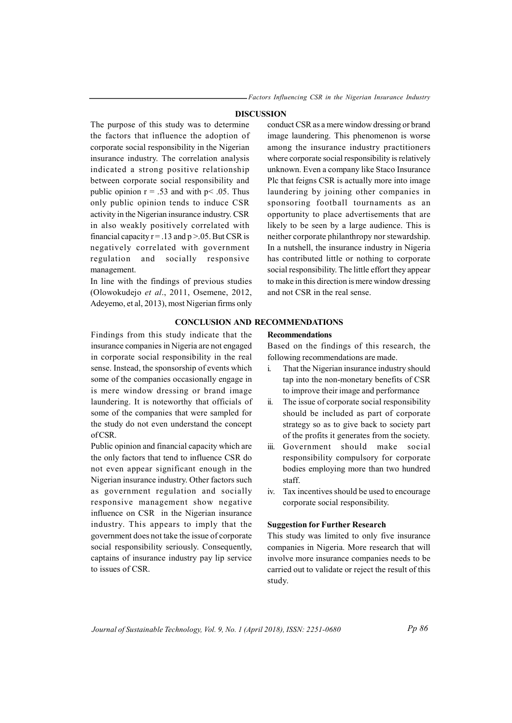Factors Influencing CSR in the Nigerian Insurance Industry

## DISCUSSION

The purpose of this study was to determine the factors that influence the adoption of corporate social responsibility in the Nigerian insurance industry. The correlation analysis indicated a strong positive relationship between corporate social responsibility and public opinion  $r = .53$  and with  $p < .05$ . Thus only public opinion tends to induce CSR activity in the Nigerian insurance industry. CSR in also weakly positively correlated with financial capacity  $r = .13$  and  $p > .05$ . But CSR is negatively correlated with government regulation and socially responsive management.

In line with the findings of previous studies (Olowokudejo et al., 2011, Osemene, 2012, Adeyemo, et al, 2013), most Nigerian firms only

Findings from this study indicate that the insurance companies in Nigeria are not engaged in corporate social responsibility in the real sense. Instead, the sponsorship of events which some of the companies occasionally engage in is mere window dressing or brand image laundering. It is noteworthy that officials of some of the companies that were sampled for the study do not even understand the concept

Public opinion and financial capacity which are the only factors that tend to influence CSR do not even appear significant enough in the Nigerian insurance industry. Other factors such as government regulation and socially responsive management show negative influence on CSR in the Nigerian insurance industry. This appears to imply that the government does not take the issue of corporate social responsibility seriously. Consequently, captains of insurance industry pay lip service

of CSR.

to issues of CSR.

conduct CSR as a mere window dressing or brand image laundering. This phenomenon is worse among the insurance industry practitioners where corporate social responsibility is relatively unknown. Even a company like Staco Insurance Plc that feigns CSR is actually more into image laundering by joining other companies in sponsoring football tournaments as an opportunity to place advertisements that are likely to be seen by a large audience. This is neither corporate philanthropy nor stewardship. In a nutshell, the insurance industry in Nigeria has contributed little or nothing to corporate social responsibility. The little effort they appear to make in this direction is mere window dressing and not CSR in the real sense.

## CONCLUSION AND RECOMMENDATIONS

Recommendations

Based on the findings of this research, the following recommendations are made.

- i. That the Nigerian insurance industry should tap into the non-monetary benefits of CSR to improve their image and performance
- ii. The issue of corporate social responsibility should be included as part of corporate strategy so as to give back to society part of the profits it generates from the society.
- iii. Government should make social responsibility compulsory for corporate bodies employing more than two hundred staff.
- iv. Tax incentives should be used to encourage corporate social responsibility.

#### Suggestion for Further Research

This study was limited to only five insurance companies in Nigeria. More research that will involve more insurance companies needs to be carried out to validate or reject the result of this study.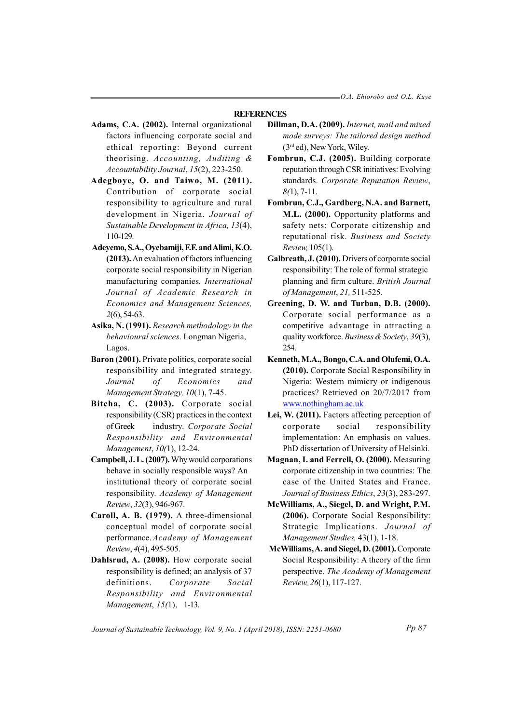## **REFERENCES**

- Adams, C.A. (2002). Internal organizational factors influencing corporate social and ethical reporting: Beyond current theorising. Accounting, Auditing & Accountability Journal, 15(2), 223-250.
- Adegboye, O. and Taiwo, M. (2011). Contribution of corporate social responsibility to agriculture and rural development in Nigeria. Journal of Sustainable Development in Africa, 13(4), 110-129.
- Adeyemo, S.A., Oyebamiji, F.F. and Alimi, K.O. (2013). An evaluation of factors influencing corporate social responsibility in Nigerian manufacturing companies. International Journal of Academic Research in Economics and Management Sciences, 2(6), 54-63.
- Asika, N. (1991). Research methodology in the behavioural sciences. Longman Nigeria, Lagos.
- Baron (2001). Private politics, corporate social responsibility and integrated strategy. Journal of Economics and Management Strategy, 10(1), 7-45.
- Bitcha, C. (2003). Corporate social responsibility (CSR) practices in the context of Greek industry. Corporate Social Responsibility and Environmental Management, 10(1), 12-24.
- Campbell, J. L. (2007). Why would corporations behave in socially responsible ways? An institutional theory of corporate social responsibility. Academy of Management Review, 32(3), 946-967.
- Caroll, A. B. (1979). A three-dimensional conceptual model of corporate social performance.Academy of Management Review, 4(4), 495-505.
- Dahlsrud, A. (2008). How corporate social responsibility is defined; an analysis of 37 definitions. Corporate Social Responsibility and Environmental Management, 15(1), 1-13.
- Dillman, D.A. (2009). Internet, mail and mixed mode surveys: The tailored design method (3rd ed), New York, Wiley.
- Fombrun, C.J. (2005). Building corporate reputation through CSR initiatives: Evolving standards. Corporate Reputation Review,  $8(1)$ , 7-11.
- Fombrun, C.J., Gardberg, N.A. and Barnett, M.L. (2000). Opportunity platforms and safety nets: Corporate citizenship and reputational risk. Business and Society Review, 105(1).
- Galbreath, J. (2010). Drivers of corporate social responsibility: The role of formal strategic planning and firm culture. British Journal of Management, 21, 511-525.
- Greening, D. W. and Turban, D.B. (2000). Corporate social performance as a competitive advantage in attracting a quality workforce. Business & Society, 39(3), 254.
- Kenneth, M.A., Bongo, C.A. and Olufemi, O.A. (2010). Corporate Social Responsibility in Nigeria: Western mimicry or indigenous practices? Retrieved on 20/7/2017 from www.nothingham.ac.uk
- Lei, W. (2011). Factors affecting perception of corporate social responsibility implementation: An emphasis on values. PhD dissertation of University of Helsinki.
- Magnan, I. and Ferrell, O. (2000). Measuring corporate citizenship in two countries: The case of the United States and France. Journal of Business Ethics, 23(3), 283-297.
- McWilliams, A., Siegel, D. and Wright, P.M. (2006). Corporate Social Responsibility: Strategic Implications. Journal of Management Studies, 43(1), 1-18.
- McWilliams, A. and Siegel, D. (2001). Corporate Social Responsibility: A theory of the firm perspective. The Academy of Management Review, 26(1), 117-127.